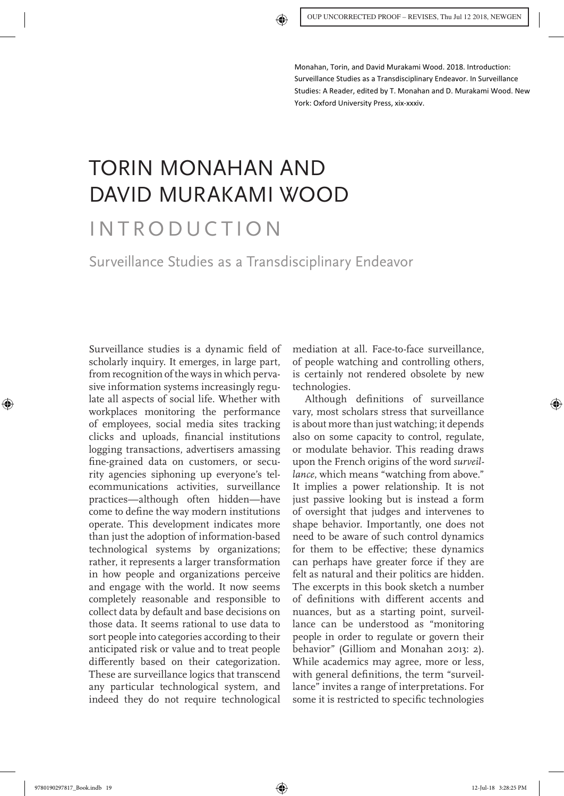Monahan, Torin, and David Murakami Wood. 2018. Introduction: Surveillance Studies as a Transdisciplinary Endeavor. In Surveillance Studies: A Reader, edited by T. Monahan and D. Murakami Wood. New York: Oxford University Press, xix-xxxiv.

# TORIN MONAHAN AND DAVID MURAKAMI WOOD **INTRODUCTION**

Surveillance Studies as a Transdisciplinary Endeavor

Surveillance studies is a dynamic field of scholarly inquiry. It emerges, in large part, from recognition of the ways in which pervasive information systems increasingly regulate all aspects of social life. Whether with workplaces monitoring the performance of employees, social media sites tracking clicks and uploads, financial institutions logging transactions, advertisers amassing fine-grained data on customers, or security agencies siphoning up everyone's telecommunications activities, surveillance practices—although often hidden—have come to define the way modern institutions operate. This development indicates more than just the adoption of information-based technological systems by organizations; rather, it represents a larger transformation in how people and organizations perceive and engage with the world. It now seems completely reasonable and responsible to collect data by default and base decisions on those data. It seems rational to use data to sort people into categories according to their anticipated risk or value and to treat people differently based on their categorization. These are surveillance logics that transcend any particular technological system, and indeed they do not require technological

mediation at all. Face-to-face surveillance, of people watching and controlling others, is certainly not rendered obsolete by new technologies.

Although definitions of surveillance vary, most scholars stress that surveillance is about more than just watching; it depends also on some capacity to control, regulate, or modulate behavior. This reading draws upon the French origins of the word *surveillance*, which means "watching from above." It implies a power relationship. It is not just passive looking but is instead a form of oversight that judges and intervenes to shape behavior. Importantly, one does not need to be aware of such control dynamics for them to be effective; these dynamics can perhaps have greater force if they are felt as natural and their politics are hidden. The excerpts in this book sketch a number of definitions with different accents and nuances, but as a starting point, surveillance can be understood as "monitoring people in order to regulate or govern their behavior" (Gilliom and Monahan 2013: 2). While academics may agree, more or less, with general definitions, the term "surveillance" invites a range of interpretations. For some it is restricted to specific technologies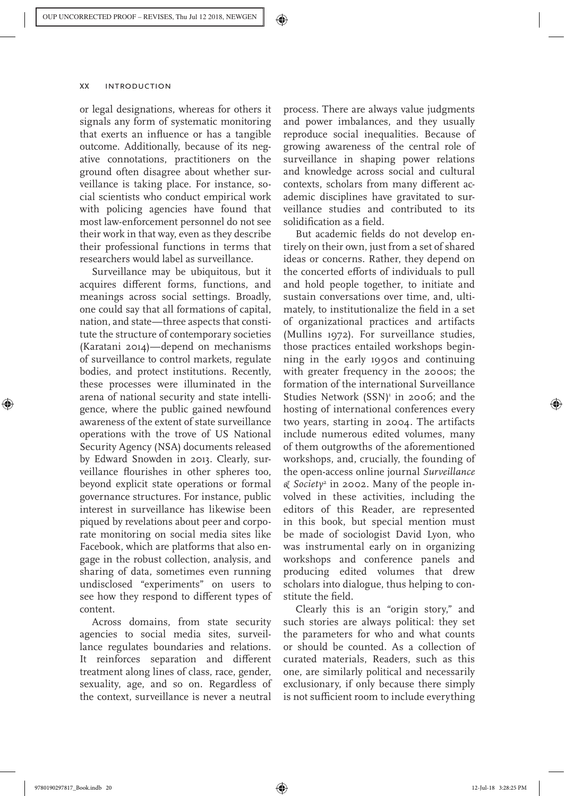or legal designations, whereas for others it signals any form of systematic monitoring that exerts an influence or has a tangible outcome. Additionally, because of its negative connotations, practitioners on the ground often disagree about whether surveillance is taking place. For instance, social scientists who conduct empirical work with policing agencies have found that most law-enforcement personnel do not see their work in that way, even as they describe their professional functions in terms that researchers would label as surveillance.

Surveillance may be ubiquitous, but it acquires different forms, functions, and meanings across social settings. Broadly, one could say that all formations of capital, nation, and state—three aspects that constitute the structure of contemporary societies (Karatani 2014)—depend on mechanisms of surveillance to control markets, regulate bodies, and protect institutions. Recently, these processes were illuminated in the arena of national security and state intelligence, where the public gained newfound awareness of the extent of state surveillance operations with the trove of US National Security Agency (NSA) documents released by Edward Snowden in 2013. Clearly, surveillance flourishes in other spheres too, beyond explicit state operations or formal governance structures. For instance, public interest in surveillance has likewise been piqued by revelations about peer and corporate monitoring on social media sites like Facebook, which are platforms that also engage in the robust collection, analysis, and sharing of data, sometimes even running undisclosed "experiments" on users to see how they respond to different types of content.

Across domains, from state security agencies to social media sites, surveillance regulates boundaries and relations. It reinforces separation and different treatment along lines of class, race, gender, sexuality, age, and so on. Regardless of the context, surveillance is never a neutral

process. There are always value judgments and power imbalances, and they usually reproduce social inequalities. Because of growing awareness of the central role of surveillance in shaping power relations and knowledge across social and cultural contexts, scholars from many different academic disciplines have gravitated to surveillance studies and contributed to its solidification as a field.

But academic fields do not develop entirely on their own, just from a set of shared ideas or concerns. Rather, they depend on the concerted efforts of individuals to pull and hold people together, to initiate and sustain conversations over time, and, ultimately, to institutionalize the field in a set of organizational practices and artifacts (Mullins 1972). For surveillance studies, those practices entailed workshops beginning in the early 1990s and continuing with greater frequency in the 2000s; the formation of the international Surveillance Studies Network  $(SSN)^1$  in 2006; and the hosting of international conferences every two years, starting in 2004. The artifacts include numerous edited volumes, many of them outgrowths of the aforementioned workshops, and, crucially, the founding of the open-access online journal *Surveillance & Society*<sup>2</sup> in 2002. Many of the people involved in these activities, including the editors of this Reader, are represented in this book, but special mention must be made of sociologist David Lyon, who was instrumental early on in organizing workshops and conference panels and producing edited volumes that drew scholars into dialogue, thus helping to constitute the field.

Clearly this is an "origin story," and such stories are always political: they set the parameters for who and what counts or should be counted. As a collection of curated materials, Readers, such as this one, are similarly political and necessarily exclusionary, if only because there simply is not sufficient room to include everything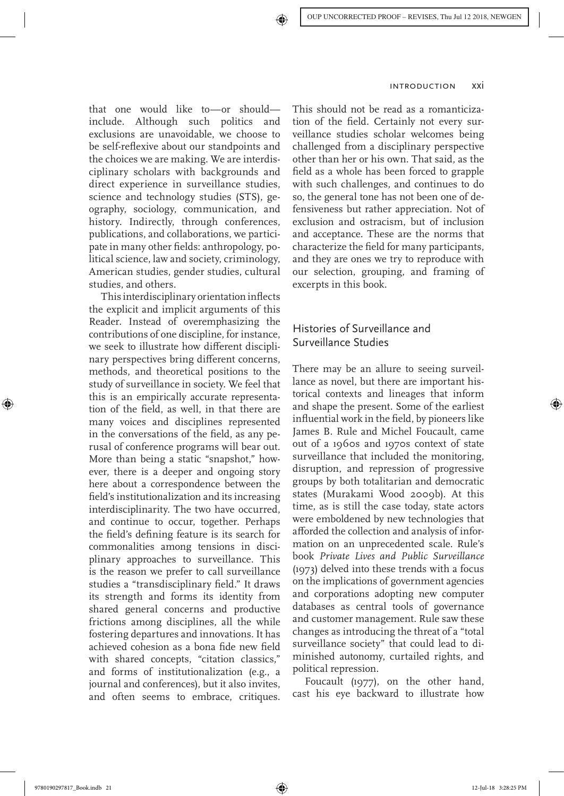that one would like to—or should include. Although such politics and exclusions are unavoidable, we choose to be self-reflexive about our standpoints and the choices we are making. We are interdisciplinary scholars with backgrounds and direct experience in surveillance studies, science and technology studies (STS), geography, sociology, communication, and history. Indirectly, through conferences, publications, and collaborations, we participate in many other fields: anthropology, political science, law and society, criminology, American studies, gender studies, cultural studies, and others.

This interdisciplinary orientation inflects the explicit and implicit arguments of this Reader. Instead of overemphasizing the contributions of one discipline, for instance, we seek to illustrate how different disciplinary perspectives bring different concerns, methods, and theoretical positions to the study of surveillance in society. We feel that this is an empirically accurate representation of the field, as well, in that there are many voices and disciplines represented in the conversations of the field, as any perusal of conference programs will bear out. More than being a static "snapshot," however, there is a deeper and ongoing story here about a correspondence between the field's institutionalization and its increasing interdisciplinarity. The two have occurred, and continue to occur, together. Perhaps the field's defining feature is its search for commonalities among tensions in disciplinary approaches to surveillance. This is the reason we prefer to call surveillance studies a "transdisciplinary field." It draws its strength and forms its identity from shared general concerns and productive frictions among disciplines, all the while fostering departures and innovations. It has achieved cohesion as a bona fide new field with shared concepts, "citation classics," and forms of institutionalization (e.g., a journal and conferences), but it also invites, and often seems to embrace, critiques.

This should not be read as a romanticization of the field. Certainly not every surveillance studies scholar welcomes being challenged from a disciplinary perspective other than her or his own. That said, as the field as a whole has been forced to grapple with such challenges, and continues to do so, the general tone has not been one of defensiveness but rather appreciation. Not of exclusion and ostracism, but of inclusion and acceptance. These are the norms that characterize the field for many participants, and they are ones we try to reproduce with our selection, grouping, and framing of excerpts in this book.

## Histories of Surveillance and Surveillance Studies

There may be an allure to seeing surveillance as novel, but there are important historical contexts and lineages that inform and shape the present. Some of the earliest influential work in the field, by pioneers like James B. Rule and Michel Foucault, came out of a 1960s and 1970s context of state surveillance that included the monitoring, disruption, and repression of progressive groups by both totalitarian and democratic states (Murakami Wood 2009b). At this time, as is still the case today, state actors were emboldened by new technologies that afforded the collection and analysis of information on an unprecedented scale. Rule's book *Private Lives and Public Surveillance* (1973) delved into these trends with a focus on the implications of government agencies and corporations adopting new computer databases as central tools of governance and customer management. Rule saw these changes as introducing the threat of a "total surveillance society" that could lead to diminished autonomy, curtailed rights, and political repression.

Foucault (1977), on the other hand, cast his eye backward to illustrate how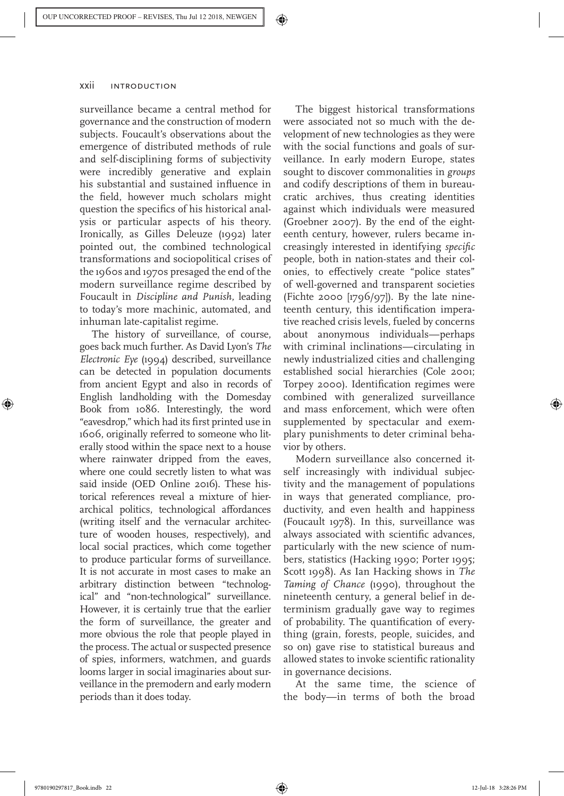surveillance became a central method for governance and the construction of modern subjects. Foucault's observations about the emergence of distributed methods of rule and self-disciplining forms of subjectivity were incredibly generative and explain his substantial and sustained influence in the field, however much scholars might question the specifics of his historical analysis or particular aspects of his theory. Ironically, as Gilles Deleuze (1992) later pointed out, the combined technological transformations and sociopolitical crises of the 1960s and 1970s presaged the end of the modern surveillance regime described by Foucault in *Discipline and Punish*, leading to today's more machinic, automated, and inhuman late-capitalist regime.

The history of surveillance, of course, goes back much further. As David Lyon's *The Electronic Eye* (1994) described, surveillance can be detected in population documents from ancient Egypt and also in records of English landholding with the Domesday Book from 1086. Interestingly, the word "eavesdrop," which had its first printed use in 1606, originally referred to someone who literally stood within the space next to a house where rainwater dripped from the eaves, where one could secretly listen to what was said inside (OED Online 2016). These historical references reveal a mixture of hierarchical politics, technological affordances (writing itself and the vernacular architecture of wooden houses, respectively), and local social practices, which come together to produce particular forms of surveillance. It is not accurate in most cases to make an arbitrary distinction between "technological" and "non-technological" surveillance. However, it is certainly true that the earlier the form of surveillance, the greater and more obvious the role that people played in the process. The actual or suspected presence of spies, informers, watchmen, and guards looms larger in social imaginaries about surveillance in the premodern and early modern periods than it does today.

The biggest historical transformations were associated not so much with the development of new technologies as they were with the social functions and goals of surveillance. In early modern Europe, states sought to discover commonalities in *groups* and codify descriptions of them in bureaucratic archives, thus creating identities against which individuals were measured (Groebner 2007). By the end of the eighteenth century, however, rulers became increasingly interested in identifying *specific* people, both in nation-states and their colonies, to effectively create "police states" of well-governed and transparent societies (Fichte 2000 [1796/97]). By the late nineteenth century, this identification imperative reached crisis levels, fueled by concerns about anonymous individuals—perhaps with criminal inclinations—circulating in newly industrialized cities and challenging established social hierarchies (Cole 2001; Torpey 2000). Identification regimes were combined with generalized surveillance and mass enforcement, which were often supplemented by spectacular and exemplary punishments to deter criminal behavior by others.

Modern surveillance also concerned itself increasingly with individual subjectivity and the management of populations in ways that generated compliance, productivity, and even health and happiness (Foucault 1978). In this, surveillance was always associated with scientific advances, particularly with the new science of numbers, statistics (Hacking 1990; Porter 1995; Scott 1998). As Ian Hacking shows in *The Taming of Chance* (1990), throughout the nineteenth century, a general belief in determinism gradually gave way to regimes of probability. The quantification of everything (grain, forests, people, suicides, and so on) gave rise to statistical bureaus and allowed states to invoke scientific rationality in governance decisions.

At the same time, the science of the body—in terms of both the broad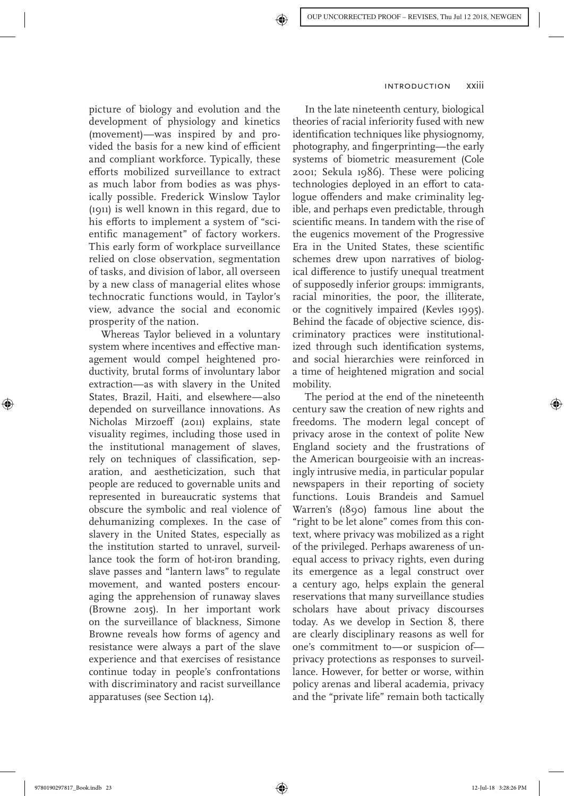picture of biology and evolution and the development of physiology and kinetics (movement)—was inspired by and provided the basis for a new kind of efficient and compliant workforce. Typically, these efforts mobilized surveillance to extract as much labor from bodies as was physically possible. Frederick Winslow Taylor (1911) is well known in this regard, due to his efforts to implement a system of "scientific management" of factory workers. This early form of workplace surveillance relied on close observation, segmentation of tasks, and division of labor, all overseen by a new class of managerial elites whose technocratic functions would, in Taylor's view, advance the social and economic prosperity of the nation.

Whereas Taylor believed in a voluntary system where incentives and effective management would compel heightened productivity, brutal forms of involuntary labor extraction—as with slavery in the United States, Brazil, Haiti, and elsewhere—also depended on surveillance innovations. As Nicholas Mirzoeff (2011) explains, state visuality regimes, including those used in the institutional management of slaves, rely on techniques of classification, separation, and aestheticization, such that people are reduced to governable units and represented in bureaucratic systems that obscure the symbolic and real violence of dehumanizing complexes. In the case of slavery in the United States, especially as the institution started to unravel, surveillance took the form of hot-iron branding, slave passes and "lantern laws" to regulate movement, and wanted posters encouraging the apprehension of runaway slaves (Browne 2015). In her important work on the surveillance of blackness, Simone Browne reveals how forms of agency and resistance were always a part of the slave experience and that exercises of resistance continue today in people's confrontations with discriminatory and racist surveillance apparatuses (see Section 14).

In the late nineteenth century, biological theories of racial inferiority fused with new identification techniques like physiognomy, photography, and fingerprinting—the early systems of biometric measurement (Cole 2001; Sekula 1986). These were policing technologies deployed in an effort to catalogue offenders and make criminality legible, and perhaps even predictable, through scientific means. In tandem with the rise of the eugenics movement of the Progressive Era in the United States, these scientific schemes drew upon narratives of biological difference to justify unequal treatment of supposedly inferior groups: immigrants, racial minorities, the poor, the illiterate, or the cognitively impaired (Kevles 1995). Behind the facade of objective science, discriminatory practices were institutionalized through such identification systems, and social hierarchies were reinforced in a time of heightened migration and social mobility.

The period at the end of the nineteenth century saw the creation of new rights and freedoms. The modern legal concept of privacy arose in the context of polite New England society and the frustrations of the American bourgeoisie with an increasingly intrusive media, in particular popular newspapers in their reporting of society functions. Louis Brandeis and Samuel Warren's (1890) famous line about the "right to be let alone" comes from this context, where privacy was mobilized as a right of the privileged. Perhaps awareness of unequal access to privacy rights, even during its emergence as a legal construct over a century ago, helps explain the general reservations that many surveillance studies scholars have about privacy discourses today. As we develop in Section 8, there are clearly disciplinary reasons as well for one's commitment to—or suspicion of privacy protections as responses to surveillance. However, for better or worse, within policy arenas and liberal academia, privacy and the "private life" remain both tactically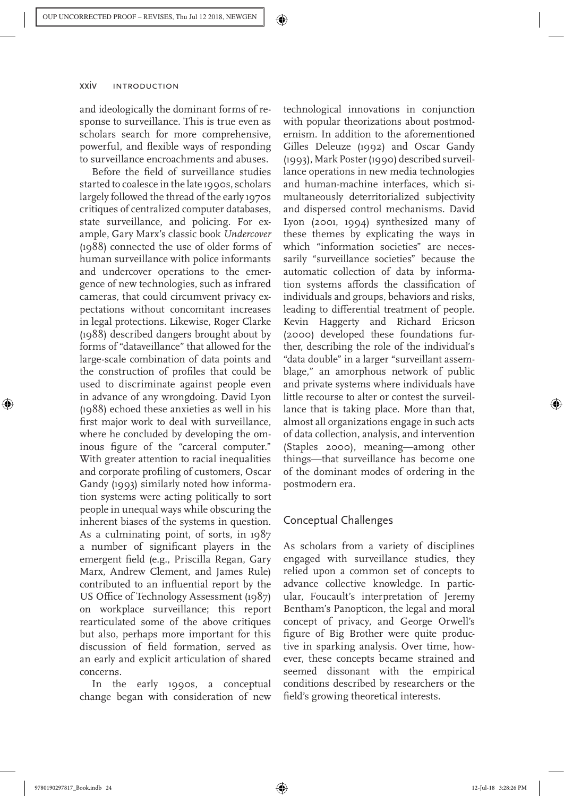and ideologically the dominant forms of response to surveillance. This is true even as scholars search for more comprehensive, powerful, and flexible ways of responding to surveillance encroachments and abuses.

Before the field of surveillance studies started to coalesce in the late 1990s, scholars largely followed the thread of the early 1970s critiques of centralized computer databases, state surveillance, and policing. For example, Gary Marx's classic book *Undercover* (1988) connected the use of older forms of human surveillance with police informants and undercover operations to the emergence of new technologies, such as infrared cameras, that could circumvent privacy expectations without concomitant increases in legal protections. Likewise, Roger Clarke (1988) described dangers brought about by forms of "dataveillance" that allowed for the large-scale combination of data points and the construction of profiles that could be used to discriminate against people even in advance of any wrongdoing. David Lyon (1988) echoed these anxieties as well in his first major work to deal with surveillance, where he concluded by developing the ominous figure of the "carceral computer." With greater attention to racial inequalities and corporate profiling of customers, Oscar Gandy (1993) similarly noted how information systems were acting politically to sort people in unequal ways while obscuring the inherent biases of the systems in question. As a culminating point, of sorts, in 1987 a number of significant players in the emergent field (e.g., Priscilla Regan, Gary Marx, Andrew Clement, and James Rule) contributed to an influential report by the US Office of Technology Assessment (1987) on workplace surveillance; this report rearticulated some of the above critiques but also, perhaps more important for this discussion of field formation, served as an early and explicit articulation of shared concerns.

In the early 1990s, a conceptual change began with consideration of new technological innovations in conjunction with popular theorizations about postmodernism. In addition to the aforementioned Gilles Deleuze (1992) and Oscar Gandy (1993), Mark Poster (1990) described surveillance operations in new media technologies and human-machine interfaces, which simultaneously deterritorialized subjectivity and dispersed control mechanisms. David Lyon (2001, 1994) synthesized many of these themes by explicating the ways in which "information societies" are necessarily "surveillance societies" because the automatic collection of data by information systems affords the classification of individuals and groups, behaviors and risks, leading to differential treatment of people. Kevin Haggerty and Richard Ericson (2000) developed these foundations further, describing the role of the individual's "data double" in a larger "surveillant assemblage," an amorphous network of public and private systems where individuals have little recourse to alter or contest the surveillance that is taking place. More than that, almost all organizations engage in such acts of data collection, analysis, and intervention (Staples 2000), meaning—among other things—that surveillance has become one of the dominant modes of ordering in the postmodern era.

### Conceptual Challenges

As scholars from a variety of disciplines engaged with surveillance studies, they relied upon a common set of concepts to advance collective knowledge. In particular, Foucault's interpretation of Jeremy Bentham's Panopticon, the legal and moral concept of privacy, and George Orwell's figure of Big Brother were quite productive in sparking analysis. Over time, however, these concepts became strained and seemed dissonant with the empirical conditions described by researchers or the field's growing theoretical interests.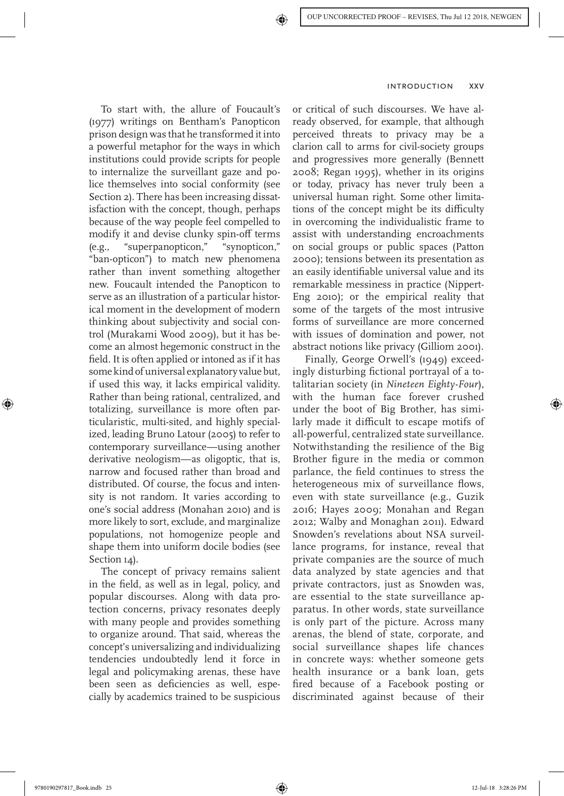To start with, the allure of Foucault's (1977) writings on Bentham's Panopticon prison design was that he transformed it into a powerful metaphor for the ways in which institutions could provide scripts for people to internalize the surveillant gaze and police themselves into social conformity (see Section 2). There has been increasing dissatisfaction with the concept, though, perhaps because of the way people feel compelled to modify it and devise clunky spin-off terms (e.g., "superpanopticon," "synopticon," "ban-opticon") to match new phenomena rather than invent something altogether new. Foucault intended the Panopticon to serve as an illustration of a particular historical moment in the development of modern thinking about subjectivity and social control (Murakami Wood 2009), but it has become an almost hegemonic construct in the field. It is often applied or intoned as if it has some kind of universal explanatory value but, if used this way, it lacks empirical validity. Rather than being rational, centralized, and totalizing, surveillance is more often particularistic, multi-sited, and highly specialized, leading Bruno Latour (2005) to refer to contemporary surveillance—using another derivative neologism—as oligoptic, that is, narrow and focused rather than broad and distributed. Of course, the focus and intensity is not random. It varies according to one's social address (Monahan 2010) and is more likely to sort, exclude, and marginalize populations, not homogenize people and shape them into uniform docile bodies (see Section 14).

The concept of privacy remains salient in the field, as well as in legal, policy, and popular discourses. Along with data protection concerns, privacy resonates deeply with many people and provides something to organize around. That said, whereas the concept's universalizing and individualizing tendencies undoubtedly lend it force in legal and policymaking arenas, these have been seen as deficiencies as well, especially by academics trained to be suspicious

or critical of such discourses. We have already observed, for example, that although perceived threats to privacy may be a clarion call to arms for civil-society groups and progressives more generally (Bennett 2008; Regan 1995), whether in its origins or today, privacy has never truly been a universal human right. Some other limitations of the concept might be its difficulty in overcoming the individualistic frame to assist with understanding encroachments on social groups or public spaces (Patton 2000); tensions between its presentation as an easily identifiable universal value and its remarkable messiness in practice (Nippert-Eng 2010); or the empirical reality that some of the targets of the most intrusive forms of surveillance are more concerned with issues of domination and power, not abstract notions like privacy (Gilliom 2001).

Finally, George Orwell's (1949) exceedingly disturbing fictional portrayal of a totalitarian society (in *Nineteen Eighty-Four*), with the human face forever crushed under the boot of Big Brother, has similarly made it difficult to escape motifs of all-powerful, centralized state surveillance. Notwithstanding the resilience of the Big Brother figure in the media or common parlance, the field continues to stress the heterogeneous mix of surveillance flows, even with state surveillance (e.g., Guzik 2016; Hayes 2009; Monahan and Regan 2012; Walby and Monaghan 2011). Edward Snowden's revelations about NSA surveillance programs, for instance, reveal that private companies are the source of much data analyzed by state agencies and that private contractors, just as Snowden was, are essential to the state surveillance apparatus. In other words, state surveillance is only part of the picture. Across many arenas, the blend of state, corporate, and social surveillance shapes life chances in concrete ways: whether someone gets health insurance or a bank loan, gets fired because of a Facebook posting or discriminated against because of their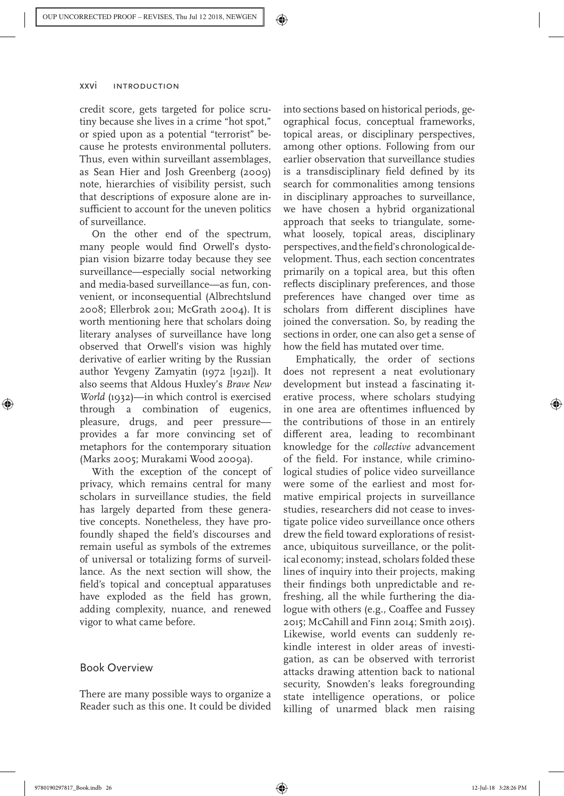credit score, gets targeted for police scrutiny because she lives in a crime "hot spot," or spied upon as a potential "terrorist" because he protests environmental polluters. Thus, even within surveillant assemblages, as Sean Hier and Josh Greenberg (2009) note, hierarchies of visibility persist, such that descriptions of exposure alone are insufficient to account for the uneven politics of surveillance.

On the other end of the spectrum, many people would find Orwell's dystopian vision bizarre today because they see surveillance—especially social networking and media-based surveillance—as fun, convenient, or inconsequential (Albrechtslund 2008; Ellerbrok 2011; McGrath 2004). It is worth mentioning here that scholars doing literary analyses of surveillance have long observed that Orwell's vision was highly derivative of earlier writing by the Russian author Yevgeny Zamyatin (1972 [1921]). It also seems that Aldous Huxley's *Brave New World* (1932)—in which control is exercised through a combination of eugenics, pleasure, drugs, and peer pressure provides a far more convincing set of metaphors for the contemporary situation (Marks 2005; Murakami Wood 2009a).

With the exception of the concept of privacy, which remains central for many scholars in surveillance studies, the field has largely departed from these generative concepts. Nonetheless, they have profoundly shaped the field's discourses and remain useful as symbols of the extremes of universal or totalizing forms of surveillance. As the next section will show, the field's topical and conceptual apparatuses have exploded as the field has grown, adding complexity, nuance, and renewed vigor to what came before.

## Book Overview

There are many possible ways to organize a Reader such as this one. It could be divided

into sections based on historical periods, geographical focus, conceptual frameworks, topical areas, or disciplinary perspectives, among other options. Following from our earlier observation that surveillance studies is a transdisciplinary field defined by its search for commonalities among tensions in disciplinary approaches to surveillance, we have chosen a hybrid organizational approach that seeks to triangulate, somewhat loosely, topical areas, disciplinary perspectives, and the field's chronological development. Thus, each section concentrates primarily on a topical area, but this often reflects disciplinary preferences, and those preferences have changed over time as scholars from different disciplines have joined the conversation. So, by reading the sections in order, one can also get a sense of how the field has mutated over time.

Emphatically, the order of sections does not represent a neat evolutionary development but instead a fascinating iterative process, where scholars studying in one area are oftentimes influenced by the contributions of those in an entirely different area, leading to recombinant knowledge for the *collective* advancement of the field. For instance, while criminological studies of police video surveillance were some of the earliest and most formative empirical projects in surveillance studies, researchers did not cease to investigate police video surveillance once others drew the field toward explorations of resistance, ubiquitous surveillance, or the political economy; instead, scholars folded these lines of inquiry into their projects, making their findings both unpredictable and refreshing, all the while furthering the dialogue with others (e.g., Coaffee and Fussey 2015; McCahill and Finn 2014; Smith 2015). Likewise, world events can suddenly rekindle interest in older areas of investigation, as can be observed with terrorist attacks drawing attention back to national security, Snowden's leaks foregrounding state intelligence operations, or police killing of unarmed black men raising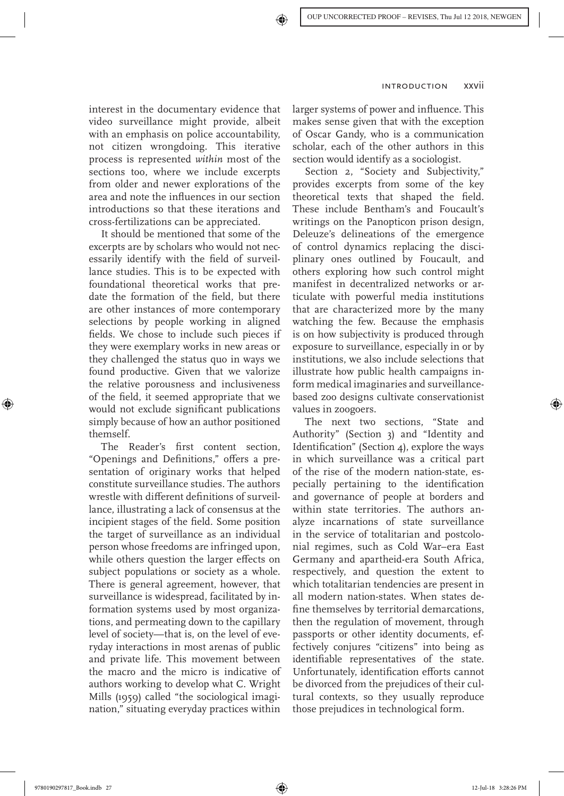interest in the documentary evidence that video surveillance might provide, albeit with an emphasis on police accountability, not citizen wrongdoing. This iterative process is represented *within* most of the sections too, where we include excerpts from older and newer explorations of the area and note the influences in our section introductions so that these iterations and cross-fertilizations can be appreciated.

It should be mentioned that some of the excerpts are by scholars who would not necessarily identify with the field of surveillance studies. This is to be expected with foundational theoretical works that predate the formation of the field, but there are other instances of more contemporary selections by people working in aligned fields. We chose to include such pieces if they were exemplary works in new areas or they challenged the status quo in ways we found productive. Given that we valorize the relative porousness and inclusiveness of the field, it seemed appropriate that we would not exclude significant publications simply because of how an author positioned themself.

The Reader's first content section, "Openings and Definitions," offers a presentation of originary works that helped constitute surveillance studies. The authors wrestle with different definitions of surveillance, illustrating a lack of consensus at the incipient stages of the field. Some position the target of surveillance as an individual person whose freedoms are infringed upon, while others question the larger effects on subject populations or society as a whole. There is general agreement, however, that surveillance is widespread, facilitated by information systems used by most organizations, and permeating down to the capillary level of society—that is, on the level of everyday interactions in most arenas of public and private life. This movement between the macro and the micro is indicative of authors working to develop what C. Wright Mills (1959) called "the sociological imagination," situating everyday practices within

larger systems of power and influence. This makes sense given that with the exception of Oscar Gandy, who is a communication scholar, each of the other authors in this section would identify as a sociologist.

Section 2, "Society and Subjectivity," provides excerpts from some of the key theoretical texts that shaped the field. These include Bentham's and Foucault's writings on the Panopticon prison design, Deleuze's delineations of the emergence of control dynamics replacing the disciplinary ones outlined by Foucault, and others exploring how such control might manifest in decentralized networks or articulate with powerful media institutions that are characterized more by the many watching the few. Because the emphasis is on how subjectivity is produced through exposure to surveillance, especially in or by institutions, we also include selections that illustrate how public health campaigns inform medical imaginaries and surveillancebased zoo designs cultivate conservationist values in zoogoers.

The next two sections, "State and Authority" (Section 3) and "Identity and Identification" (Section 4), explore the ways in which surveillance was a critical part of the rise of the modern nation-state, especially pertaining to the identification and governance of people at borders and within state territories. The authors analyze incarnations of state surveillance in the service of totalitarian and postcolonial regimes, such as Cold War–era East Germany and apartheid-era South Africa, respectively, and question the extent to which totalitarian tendencies are present in all modern nation-states. When states define themselves by territorial demarcations, then the regulation of movement, through passports or other identity documents, effectively conjures "citizens" into being as identifiable representatives of the state. Unfortunately, identification efforts cannot be divorced from the prejudices of their cultural contexts, so they usually reproduce those prejudices in technological form.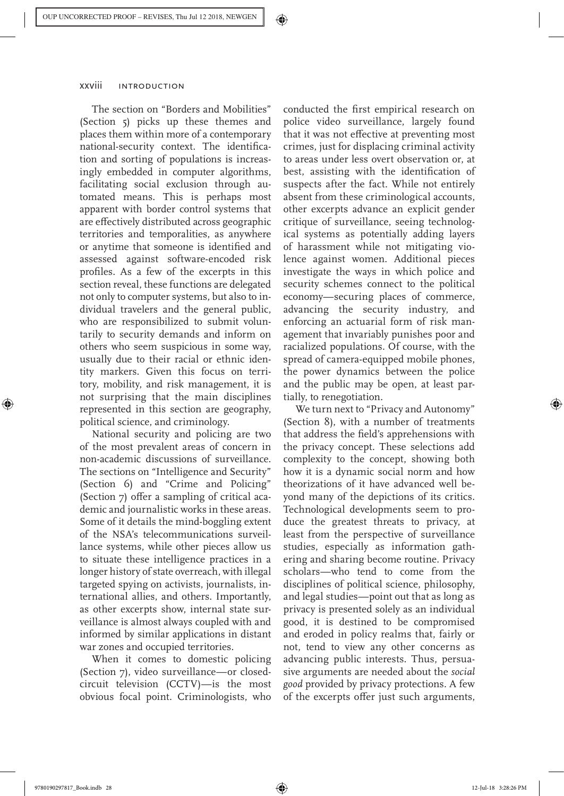The section on "Borders and Mobilities" (Section 5) picks up these themes and places them within more of a contemporary national-security context. The identification and sorting of populations is increasingly embedded in computer algorithms, facilitating social exclusion through automated means. This is perhaps most apparent with border control systems that are effectively distributed across geographic territories and temporalities, as anywhere or anytime that someone is identified and assessed against software-encoded risk profiles. As a few of the excerpts in this section reveal, these functions are delegated not only to computer systems, but also to individual travelers and the general public, who are responsibilized to submit voluntarily to security demands and inform on others who seem suspicious in some way, usually due to their racial or ethnic identity markers. Given this focus on territory, mobility, and risk management, it is not surprising that the main disciplines represented in this section are geography, political science, and criminology.

National security and policing are two of the most prevalent areas of concern in non-academic discussions of surveillance. The sections on "Intelligence and Security" (Section 6) and "Crime and Policing" (Section 7) offer a sampling of critical academic and journalistic works in these areas. Some of it details the mind-boggling extent of the NSA's telecommunications surveillance systems, while other pieces allow us to situate these intelligence practices in a longer history of state overreach, with illegal targeted spying on activists, journalists, international allies, and others. Importantly, as other excerpts show, internal state surveillance is almost always coupled with and informed by similar applications in distant war zones and occupied territories.

When it comes to domestic policing (Section 7), video surveillance—or closedcircuit television (CCTV)—is the most obvious focal point. Criminologists, who

conducted the first empirical research on police video surveillance, largely found that it was not effective at preventing most crimes, just for displacing criminal activity to areas under less overt observation or, at best, assisting with the identification of suspects after the fact. While not entirely absent from these criminological accounts, other excerpts advance an explicit gender critique of surveillance, seeing technological systems as potentially adding layers of harassment while not mitigating violence against women. Additional pieces investigate the ways in which police and security schemes connect to the political economy—securing places of commerce, advancing the security industry, and enforcing an actuarial form of risk management that invariably punishes poor and racialized populations. Of course, with the spread of camera-equipped mobile phones, the power dynamics between the police and the public may be open, at least partially, to renegotiation.

We turn next to "Privacy and Autonomy" (Section 8), with a number of treatments that address the field's apprehensions with the privacy concept. These selections add complexity to the concept, showing both how it is a dynamic social norm and how theorizations of it have advanced well beyond many of the depictions of its critics. Technological developments seem to produce the greatest threats to privacy, at least from the perspective of surveillance studies, especially as information gathering and sharing become routine. Privacy scholars—who tend to come from the disciplines of political science, philosophy, and legal studies—point out that as long as privacy is presented solely as an individual good, it is destined to be compromised and eroded in policy realms that, fairly or not, tend to view any other concerns as advancing public interests. Thus, persuasive arguments are needed about the *social good* provided by privacy protections. A few of the excerpts offer just such arguments,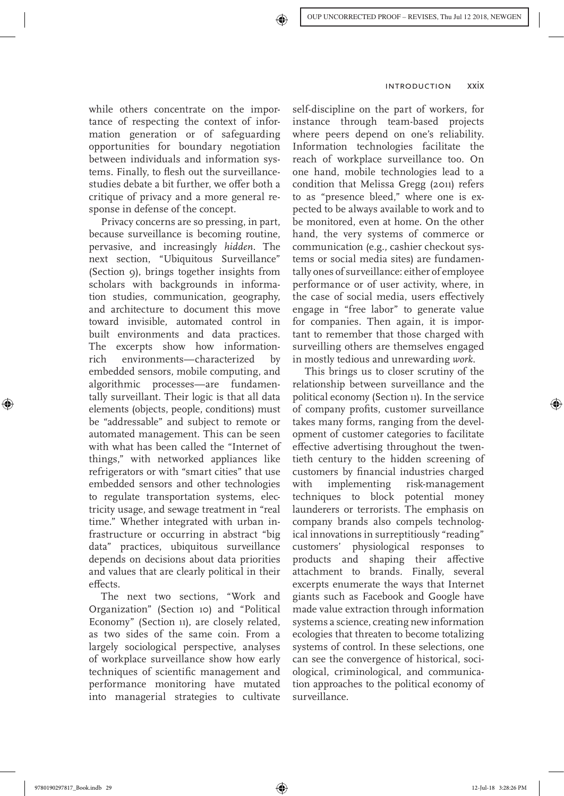while others concentrate on the importance of respecting the context of information generation or of safeguarding opportunities for boundary negotiation between individuals and information systems. Finally, to flesh out the surveillancestudies debate a bit further, we offer both a critique of privacy and a more general response in defense of the concept.

Privacy concerns are so pressing, in part, because surveillance is becoming routine, pervasive, and increasingly *hidden*. The next section, "Ubiquitous Surveillance" (Section 9), brings together insights from scholars with backgrounds in information studies, communication, geography, and architecture to document this move toward invisible, automated control in built environments and data practices. The excerpts show how informationrich environments—characterized by embedded sensors, mobile computing, and algorithmic processes—are fundamentally surveillant. Their logic is that all data elements (objects, people, conditions) must be "addressable" and subject to remote or automated management. This can be seen with what has been called the "Internet of things," with networked appliances like refrigerators or with "smart cities" that use embedded sensors and other technologies to regulate transportation systems, electricity usage, and sewage treatment in "real time." Whether integrated with urban infrastructure or occurring in abstract "big data" practices, ubiquitous surveillance depends on decisions about data priorities and values that are clearly political in their effects.

The next two sections, "Work and Organization" (Section 10) and "Political Economy" (Section 11), are closely related, as two sides of the same coin. From a largely sociological perspective, analyses of workplace surveillance show how early techniques of scientific management and performance monitoring have mutated into managerial strategies to cultivate

self-discipline on the part of workers, for instance through team-based projects where peers depend on one's reliability. Information technologies facilitate the reach of workplace surveillance too. On one hand, mobile technologies lead to a condition that Melissa Gregg (2011) refers to as "presence bleed," where one is expected to be always available to work and to be monitored, even at home. On the other hand, the very systems of commerce or communication (e.g., cashier checkout systems or social media sites) are fundamentally ones of surveillance: either of employee performance or of user activity, where, in the case of social media, users effectively engage in "free labor" to generate value for companies. Then again, it is important to remember that those charged with surveilling others are themselves engaged in mostly tedious and unrewarding *work*.

This brings us to closer scrutiny of the relationship between surveillance and the political economy (Section 11). In the service of company profits, customer surveillance takes many forms, ranging from the development of customer categories to facilitate effective advertising throughout the twentieth century to the hidden screening of customers by financial industries charged with implementing risk-management techniques to block potential money launderers or terrorists. The emphasis on company brands also compels technological innovations in surreptitiously "reading" customers' physiological responses to products and shaping their affective attachment to brands. Finally, several excerpts enumerate the ways that Internet giants such as Facebook and Google have made value extraction through information systems a science, creating new information ecologies that threaten to become totalizing systems of control. In these selections, one can see the convergence of historical, sociological, criminological, and communication approaches to the political economy of surveillance.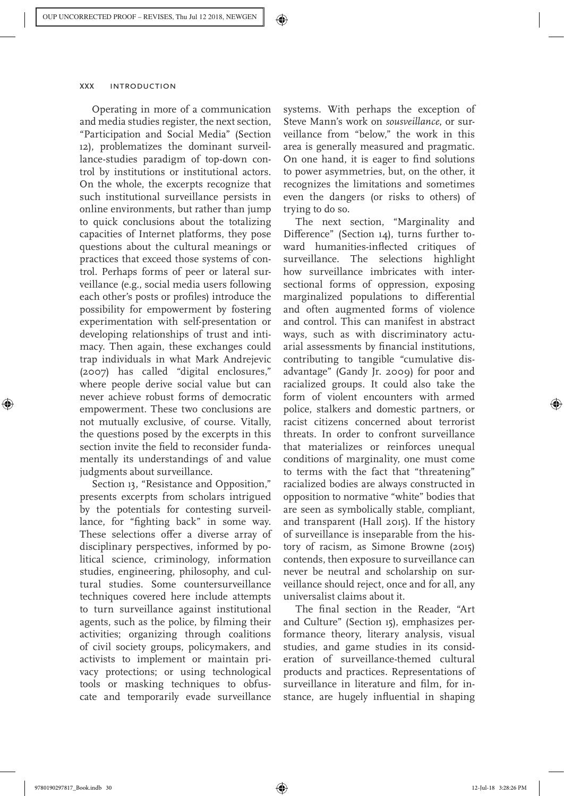Operating in more of a communication and media studies register, the next section, "Participation and Social Media" (Section 12), problematizes the dominant surveillance-studies paradigm of top-down control by institutions or institutional actors. On the whole, the excerpts recognize that such institutional surveillance persists in online environments, but rather than jump to quick conclusions about the totalizing capacities of Internet platforms, they pose questions about the cultural meanings or practices that exceed those systems of control. Perhaps forms of peer or lateral surveillance (e.g., social media users following each other's posts or profiles) introduce the possibility for empowerment by fostering experimentation with self-presentation or developing relationships of trust and intimacy. Then again, these exchanges could trap individuals in what Mark Andrejevic (2007) has called "digital enclosures," where people derive social value but can never achieve robust forms of democratic empowerment. These two conclusions are not mutually exclusive, of course. Vitally, the questions posed by the excerpts in this section invite the field to reconsider fundamentally its understandings of and value judgments about surveillance.

Section 13, "Resistance and Opposition," presents excerpts from scholars intrigued by the potentials for contesting surveillance, for "fighting back" in some way. These selections offer a diverse array of disciplinary perspectives, informed by political science, criminology, information studies, engineering, philosophy, and cultural studies. Some countersurveillance techniques covered here include attempts to turn surveillance against institutional agents, such as the police, by filming their activities; organizing through coalitions of civil society groups, policymakers, and activists to implement or maintain privacy protections; or using technological tools or masking techniques to obfuscate and temporarily evade surveillance

systems. With perhaps the exception of Steve Mann's work on *sousveillance*, or surveillance from "below," the work in this area is generally measured and pragmatic. On one hand, it is eager to find solutions to power asymmetries, but, on the other, it recognizes the limitations and sometimes even the dangers (or risks to others) of trying to do so.

The next section, "Marginality and Difference" (Section 14), turns further toward humanities-inflected critiques of surveillance. The selections highlight how surveillance imbricates with intersectional forms of oppression, exposing marginalized populations to differential and often augmented forms of violence and control. This can manifest in abstract ways, such as with discriminatory actuarial assessments by financial institutions, contributing to tangible "cumulative disadvantage" (Gandy Jr. 2009) for poor and racialized groups. It could also take the form of violent encounters with armed police, stalkers and domestic partners, or racist citizens concerned about terrorist threats. In order to confront surveillance that materializes or reinforces unequal conditions of marginality, one must come to terms with the fact that "threatening" racialized bodies are always constructed in opposition to normative "white" bodies that are seen as symbolically stable, compliant, and transparent (Hall 2015). If the history of surveillance is inseparable from the history of racism, as Simone Browne (2015) contends, then exposure to surveillance can never be neutral and scholarship on surveillance should reject, once and for all, any universalist claims about it.

The final section in the Reader, "Art and Culture" (Section 15), emphasizes performance theory, literary analysis, visual studies, and game studies in its consideration of surveillance-themed cultural products and practices. Representations of surveillance in literature and film, for instance, are hugely influential in shaping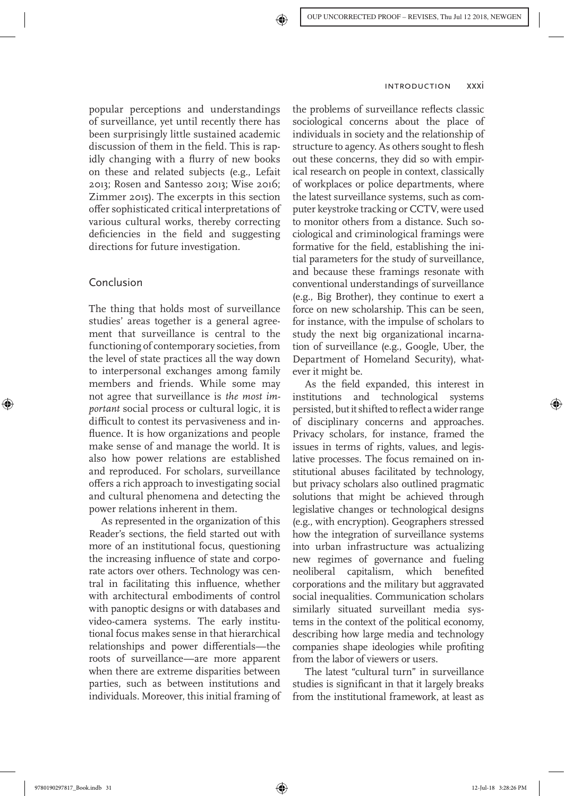popular perceptions and understandings of surveillance, yet until recently there has been surprisingly little sustained academic discussion of them in the field. This is rapidly changing with a flurry of new books on these and related subjects (e.g., Lefait 2013; Rosen and Santesso 2013; Wise 2016; Zimmer 2015). The excerpts in this section offer sophisticated critical interpretations of various cultural works, thereby correcting deficiencies in the field and suggesting directions for future investigation.

#### Conclusion

The thing that holds most of surveillance studies' areas together is a general agreement that surveillance is central to the functioning of contemporary societies, from the level of state practices all the way down to interpersonal exchanges among family members and friends. While some may not agree that surveillance is *the most important* social process or cultural logic, it is difficult to contest its pervasiveness and influence. It is how organizations and people make sense of and manage the world. It is also how power relations are established and reproduced. For scholars, surveillance offers a rich approach to investigating social and cultural phenomena and detecting the power relations inherent in them.

As represented in the organization of this Reader's sections, the field started out with more of an institutional focus, questioning the increasing influence of state and corporate actors over others. Technology was central in facilitating this influence, whether with architectural embodiments of control with panoptic designs or with databases and video-camera systems. The early institutional focus makes sense in that hierarchical relationships and power differentials—the roots of surveillance—are more apparent when there are extreme disparities between parties, such as between institutions and individuals. Moreover, this initial framing of

the problems of surveillance reflects classic sociological concerns about the place of individuals in society and the relationship of structure to agency. As others sought to flesh out these concerns, they did so with empirical research on people in context, classically of workplaces or police departments, where the latest surveillance systems, such as computer keystroke tracking or CCTV, were used to monitor others from a distance. Such sociological and criminological framings were formative for the field, establishing the initial parameters for the study of surveillance, and because these framings resonate with conventional understandings of surveillance (e.g., Big Brother), they continue to exert a force on new scholarship. This can be seen, for instance, with the impulse of scholars to study the next big organizational incarnation of surveillance (e.g., Google, Uber, the Department of Homeland Security), whatever it might be.

As the field expanded, this interest in institutions and technological systems persisted, but it shifted to reflect a wider range of disciplinary concerns and approaches. Privacy scholars, for instance, framed the issues in terms of rights, values, and legislative processes. The focus remained on institutional abuses facilitated by technology, but privacy scholars also outlined pragmatic solutions that might be achieved through legislative changes or technological designs (e.g., with encryption). Geographers stressed how the integration of surveillance systems into urban infrastructure was actualizing new regimes of governance and fueling neoliberal capitalism, which benefited corporations and the military but aggravated social inequalities. Communication scholars similarly situated surveillant media systems in the context of the political economy, describing how large media and technology companies shape ideologies while profiting from the labor of viewers or users.

The latest "cultural turn" in surveillance studies is significant in that it largely breaks from the institutional framework, at least as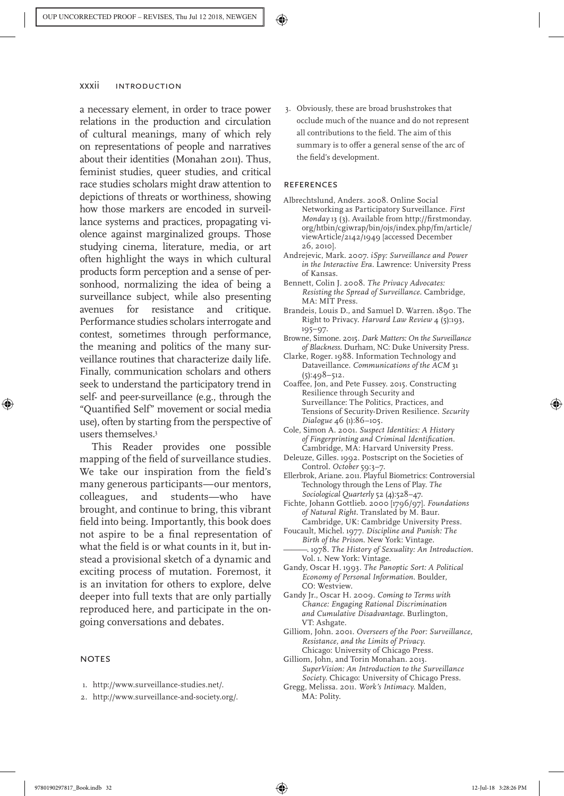a necessary element, in order to trace power relations in the production and circulation of cultural meanings, many of which rely on representations of people and narratives about their identities (Monahan 2011). Thus, feminist studies, queer studies, and critical race studies scholars might draw attention to depictions of threats or worthiness, showing how those markers are encoded in surveillance systems and practices, propagating violence against marginalized groups. Those studying cinema, literature, media, or art often highlight the ways in which cultural products form perception and a sense of personhood, normalizing the idea of being a surveillance subject, while also presenting avenues for resistance and critique. Performance studies scholars interrogate and contest, sometimes through performance, the meaning and politics of the many surveillance routines that characterize daily life. Finally, communication scholars and others seek to understand the participatory trend in self- and peer-surveillance (e.g., through the "Quantified Self" movement or social media use), often by starting from the perspective of users themselves.3

This Reader provides one possible mapping of the field of surveillance studies. We take our inspiration from the field's many generous participants—our mentors, colleagues, and students—who have brought, and continue to bring, this vibrant field into being. Importantly, this book does not aspire to be a final representation of what the field is or what counts in it, but instead a provisional sketch of a dynamic and exciting process of mutation. Foremost, it is an invitation for others to explore, delve deeper into full texts that are only partially reproduced here, and participate in the ongoing conversations and debates.

#### **NOTES**

- 1. http://www.surveillance-studies.net/.
- 2. http://www.surveillance-and-society.org/.

3. Obviously, these are broad brushstrokes that occlude much of the nuance and do not represent all contributions to the field. The aim of this summary is to offer a general sense of the arc of the field's development.

#### references

- Albrechtslund, Anders. 2008. Online Social Networking as Participatory Surveillance. *First Monday* 13 (3). Available from http://firstmonday. org/htbin/cgiwrap/bin/ojs/index.php/fm/article/ viewArticle/2142/1949 [accessed December 26, 2010].
- Andrejevic, Mark. 2007. *iSpy: Surveillance and Power in the Interactive Era*. Lawrence: University Press of Kansas.
- Bennett, Colin J. 2008. *The Privacy Advocates: Resisting the Spread of Surveillance*. Cambridge, MA: MIT Press.
- Brandeis, Louis D., and Samuel D. Warren. 1890. The Right to Privacy. *Harvard Law Review* 4 (5):193, 195–97.
- Browne, Simone. 2015. *Dark Matters: On the Surveillance of Blackness*. Durham, NC: Duke University Press.
- Clarke, Roger. 1988. Information Technology and Dataveillance. *Communications of the ACM* 31 (5):498–512.
- Coaffee, Jon, and Pete Fussey. 2015. Constructing Resilience through Security and Surveillance: The Politics, Practices, and Tensions of Security-Driven Resilience. *Security Dialogue* 46 (1):86–105.
- Cole, Simon A. 2001. *Suspect Identities: A History of Fingerprinting and Criminal Identification*. Cambridge, MA: Harvard University Press.
- Deleuze, Gilles. 1992. Postscript on the Societies of Control. *October* 59:3–7.
- Ellerbrok, Ariane. 2011. Playful Biometrics: Controversial Technology through the Lens of Play. *The Sociological Quarterly* 52 (4):528–47.
- Fichte, Johann Gottlieb. 2000 [1796/97]. *Foundations of Natural Right*. Translated by M. Baur. Cambridge, UK: Cambridge University Press.
- Foucault, Michel. 1977. *Discipline and Punish: The Birth of the Prison*. New York: Vintage.
- ———. 1978. *The History of Sexuality: An Introduction*. Vol. 1. New York: Vintage.
- Gandy, Oscar H. 1993. *The Panoptic Sort: A Political Economy of Personal Information*. Boulder, CO: Westview.
- Gandy Jr., Oscar H. 2009. *Coming to Terms with Chance: Engaging Rational Discrimination and Cumulative Disadvantage*. Burlington, VT: Ashgate.
- Gilliom, John. 2001. *Overseers of the Poor: Surveillance, Resistance, and the Limits of Privacy*. Chicago: University of Chicago Press.
- Gilliom, John, and Torin Monahan. 2013. *SuperVision: An Introduction to the Surveillance Society*. Chicago: University of Chicago Press.
- Gregg, Melissa. 2011. *Work's Intimacy*. Malden, MA: Polity.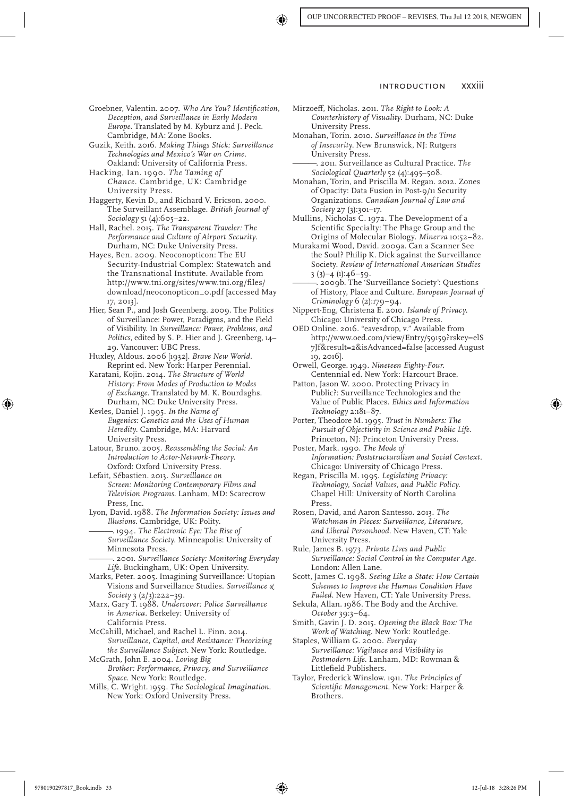- Groebner, Valentin. 2007. *Who Are You? Identification, Deception, and Surveillance in Early Modern Europe*. Translated by M. Kyburz and J. Peck. Cambridge, MA: Zone Books.
- Guzik, Keith. 2016. *Making Things Stick: Surveillance Technologies and Mexico's War on Crime*. Oakland: University of California Press.
- Hacking, Ian. 1990. *The Taming of Chance*. Cambridge, UK: Cambridge University Press.
- Haggerty, Kevin D., and Richard V. Ericson. 2000. The Surveillant Assemblage. *British Journal of Sociology* 51 (4):605–22.
- Hall, Rachel. 2015. *The Transparent Traveler: The Performance and Culture of Airport Security*. Durham, NC: Duke University Press.
- Hayes, Ben. 2009. Neoconopticon: The EU Security-Industrial Complex: Statewatch and the Transnational Institute. Available from http://www.tni.org/sites/www.tni.org/files/ download/neoconopticon\_0.pdf [accessed May 17, 2013].
- Hier, Sean P., and Josh Greenberg. 2009. The Politics of Surveillance: Power, Paradigms, and the Field of Visibility. In *Surveillance: Power, Problems, and Politics*, edited by S. P. Hier and J. Greenberg, 14– 29. Vancouver: UBC Press.
- Huxley, Aldous. 2006 [1932]. *Brave New World*. Reprint ed. New York: Harper Perennial.
- Karatani, Kojin. 2014. *The Structure of World History: From Modes of Production to Modes of Exchange*. Translated by M. K. Bourdaghs. Durham, NC: Duke University Press.
- Kevles, Daniel J. 1995. *In the Name of Eugenics: Genetics and the Uses of Human Heredity*. Cambridge, MA: Harvard University Press.
- Latour, Bruno. 2005. *Reassembling the Social: An Introduction to Actor-Network-Theory*. Oxford: Oxford University Press.
- Lefait, Sébastien. 2013. *Surveillance on Screen: Monitoring Contemporary Films and Television Programs*. Lanham, MD: Scarecrow Press, Inc.
- Lyon, David. 1988. *The Information Society: Issues and Illusions*. Cambridge, UK: Polity.
	- ———. 1994. *The Electronic Eye: The Rise of Surveillance Society*. Minneapolis: University of Minnesota Press.
	- ———. 2001. *Surveillance Society: Monitoring Everyday Life*. Buckingham, UK: Open University.
- Marks, Peter. 2005. Imagining Surveillance: Utopian Visions and Surveillance Studies. *Surveillance & Society* 3 (2/3):222–39.
- Marx, Gary T. 1988. *Undercover: Police Surveillance in America*. Berkeley: University of California Press.
- McCahill, Michael, and Rachel L. Finn. 2014. *Surveillance, Capital, and Resistance: Theorizing the Surveillance Subject*. New York: Routledge.
- McGrath, John E. 2004. *Loving Big Brother: Performance, Privacy, and Surveillance Space*. New York: Routledge.
- Mills, C. Wright. 1959. *The Sociological Imagination*. New York: Oxford University Press.
- Mirzoeff, Nicholas. 2011. *The Right to Look: A Counterhistory of Visuality*. Durham, NC: Duke University Press.
- Monahan, Torin. 2010. *Surveillance in the Time of Insecurity*. New Brunswick, NJ: Rutgers University Press.
- ———. 2011. Surveillance as Cultural Practice. *The Sociological Quarterly* 52 (4):495–508.
- Monahan, Torin, and Priscilla M. Regan. 2012. Zones of Opacity: Data Fusion in Post-9/11 Security Organizations. *Canadian Journal of Law and Society* 27 (3):301–17.
- Mullins, Nicholas C. 1972. The Development of a Scientific Specialty: The Phage Group and the Origins of Molecular Biology. *Minerva* 10:52–82.
- Murakami Wood, David. 2009a. Can a Scanner See the Soul? Philip K. Dick against the Surveillance Society. *Review of International American Studies* 3 (3)–4 (1):46–59.
- ———. 2009b. The 'Surveillance Society': Questions of History, Place and Culture. *European Journal of Criminology* 6 (2):179–94.
- Nippert-Eng, Christena E. 2010. *Islands of Privacy*. Chicago: University of Chicago Press.
- OED Online. 2016. "eavesdrop, v." Available from http://www.oed.com/view/Entry/59159?rskey=elS 7Jf&result=2&isAdvanced=false [accessed August 19, 2016].
- Orwell, George. 1949. *Nineteen Eighty-Four*. Centennial ed. New York: Harcourt Brace.
- Patton, Jason W. 2000. Protecting Privacy in Public?: Surveillance Technologies and the Value of Public Places. *Ethics and Information Technology* 2:181–87.
- Porter, Theodore M. 1995. *Trust in Numbers: The Pursuit of Objectivity in Science and Public Life*. Princeton, NJ: Princeton University Press.
- Poster, Mark. 1990. *The Mode of Information: Poststructuralism and Social Context*. Chicago: University of Chicago Press.
- Regan, Priscilla M. 1995. *Legislating Privacy: Technology, Social Values, and Public Policy*. Chapel Hill: University of North Carolina Press.
- Rosen, David, and Aaron Santesso. 2013. *The Watchman in Pieces: Surveillance, Literature, and Liberal Personhood*. New Haven, CT: Yale University Press.
- Rule, James B. 1973. *Private Lives and Public Surveillance: Social Control in the Computer Age*. London: Allen Lane.
- Scott, James C. 1998. *Seeing Like a State: How Certain Schemes to Improve the Human Condition Have Failed*. New Haven, CT: Yale University Press.
- Sekula, Allan. 1986. The Body and the Archive. *October* 39:3–64.
- Smith, Gavin J. D. 2015. *Opening the Black Box: The Work of Watching*. New York: Routledge.

Staples, William G. 2000. *Everyday Surveillance: Vigilance and Visibility in Postmodern Life*. Lanham, MD: Rowman & Littlefield Publishers.

Taylor, Frederick Winslow. 1911. *The Principles of Scientific Management*. New York: Harper & Brothers.